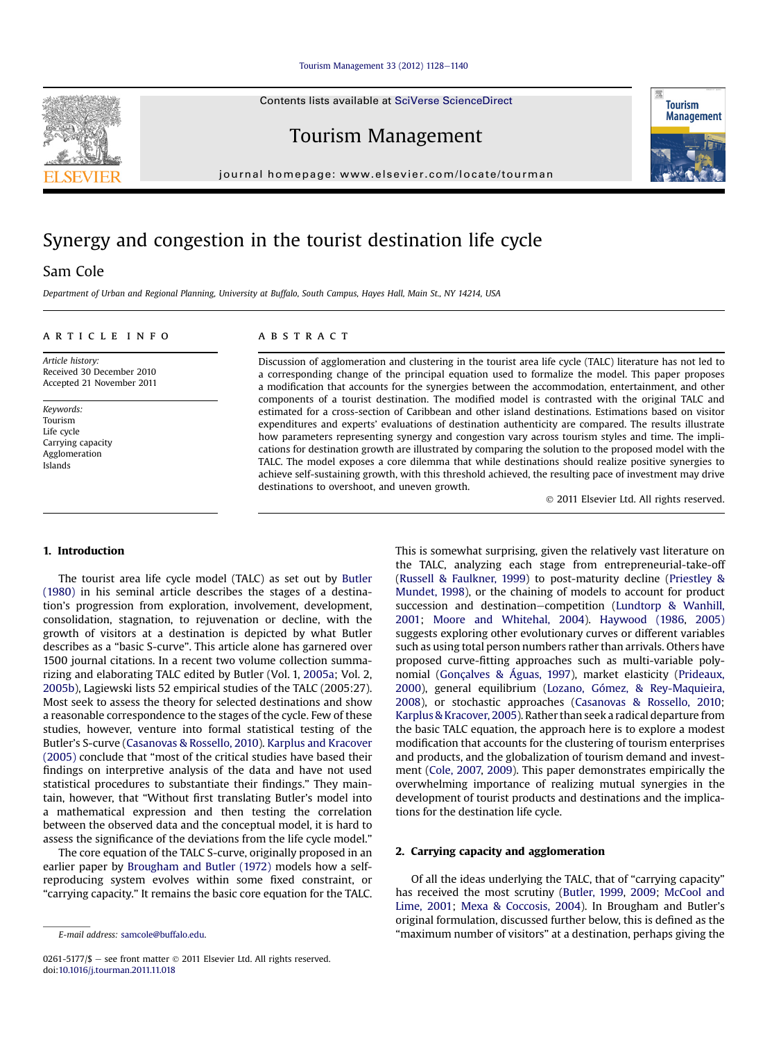#### [Tourism Management 33 \(2012\) 1128](http://dx.doi.org/10.1016/j.tourman.2011.11.018)-[1140](http://dx.doi.org/10.1016/j.tourman.2011.11.018)

Contents lists available at SciVerse ScienceDirect

Tourism Management

journal homepage: [www.elsevier.com/locate/tourman](http://www.elsevier.com/locate/tourman)

## Synergy and congestion in the tourist destination life cycle

### Sam Cole

Department of Urban and Regional Planning, University at Buffalo, South Campus, Hayes Hall, Main St., NY 14214, USA

#### article info

Article history: Received 30 December 2010 Accepted 21 November 2011

Keywords: Tourism Life cycle Carrying capacity Agglomeration Islands

#### **ABSTRACT**

Discussion of agglomeration and clustering in the tourist area life cycle (TALC) literature has not led to a corresponding change of the principal equation used to formalize the model. This paper proposes a modification that accounts for the synergies between the accommodation, entertainment, and other components of a tourist destination. The modified model is contrasted with the original TALC and estimated for a cross-section of Caribbean and other island destinations. Estimations based on visitor expenditures and experts' evaluations of destination authenticity are compared. The results illustrate how parameters representing synergy and congestion vary across tourism styles and time. The implications for destination growth are illustrated by comparing the solution to the proposed model with the TALC. The model exposes a core dilemma that while destinations should realize positive synergies to achieve self-sustaining growth, with this threshold achieved, the resulting pace of investment may drive destinations to overshoot, and uneven growth.

2011 Elsevier Ltd. All rights reserved.

#### 1. Introduction

The tourist area life cycle model (TALC) as set out by [Butler](#page--1-0) [\(1980\)](#page--1-0) in his seminal article describes the stages of a destination's progression from exploration, involvement, development, consolidation, stagnation, to rejuvenation or decline, with the growth of visitors at a destination is depicted by what Butler describes as a "basic S-curve". This article alone has garnered over 1500 journal citations. In a recent two volume collection summarizing and elaborating TALC edited by Butler (Vol. 1, [2005a;](#page--1-0) Vol. 2, [2005b\)](#page--1-0), Lagiewski lists 52 empirical studies of the TALC (2005:27). Most seek to assess the theory for selected destinations and show a reasonable correspondence to the stages of the cycle. Few of these studies, however, venture into formal statistical testing of the Butler's S-curve [\(Casanovas & Rossello, 2010](#page--1-0)). [Karplus and Kracover](#page--1-0) [\(2005\)](#page--1-0) conclude that "most of the critical studies have based their findings on interpretive analysis of the data and have not used statistical procedures to substantiate their findings." They maintain, however, that "Without first translating Butler's model into a mathematical expression and then testing the correlation between the observed data and the conceptual model, it is hard to assess the significance of the deviations from the life cycle model."

The core equation of the TALC S-curve, originally proposed in an earlier paper by [Brougham and Butler \(1972\)](#page--1-0) models how a selfreproducing system evolves within some fixed constraint, or "carrying capacity." It remains the basic core equation for the TALC. This is somewhat surprising, given the relatively vast literature on the TALC, analyzing each stage from entrepreneurial-take-off ([Russell & Faulkner, 1999\)](#page--1-0) to post-maturity decline ([Priestley &](#page--1-0) [Mundet, 1998\)](#page--1-0), or the chaining of models to account for product succession and destination-competition ([Lundtorp & Wanhill,](#page--1-0) [2001;](#page--1-0) [Moore and Whitehal, 2004\)](#page--1-0). [Haywood \(1986,](#page--1-0) [2005\)](#page--1-0) suggests exploring other evolutionary curves or different variables such as using total person numbers rather than arrivals. Others have proposed curve-fitting approaches such as multi-variable polynomial ([Gonçalves & Águas, 1997](#page--1-0)), market elasticity ([Prideaux,](#page--1-0) [2000](#page--1-0)), general equilibrium [\(Lozano, Gómez, & Rey-Maquieira,](#page--1-0) [2008\)](#page--1-0), or stochastic approaches ([Casanovas & Rossello, 2010](#page--1-0); [Karplus & Kracover, 2005](#page--1-0)). Rather than seek a radical departure from the basic TALC equation, the approach here is to explore a modest modification that accounts for the clustering of tourism enterprises and products, and the globalization of tourism demand and investment ([Cole, 2007,](#page--1-0) [2009\)](#page--1-0). This paper demonstrates empirically the overwhelming importance of realizing mutual synergies in the development of tourist products and destinations and the implications for the destination life cycle.

#### 2. Carrying capacity and agglomeration

Of all the ideas underlying the TALC, that of "carrying capacity" has received the most scrutiny ([Butler, 1999](#page--1-0), [2009](#page--1-0); [McCool and](#page--1-0) [Lime, 2001](#page--1-0); [Mexa & Coccosis, 2004\)](#page--1-0). In Brougham and Butler's original formulation, discussed further below, this is defined as the E-mail address: [samcole@buffalo.edu.](mailto:samcole@buffalo.edu) "maximum number of visitors" at a destination, perhaps giving the





<sup>0261-5177/\$</sup>  $-$  see front matter  $\odot$  2011 Elsevier Ltd. All rights reserved. doi:[10.1016/j.tourman.2011.11.018](http://dx.doi.org/10.1016/j.tourman.2011.11.018)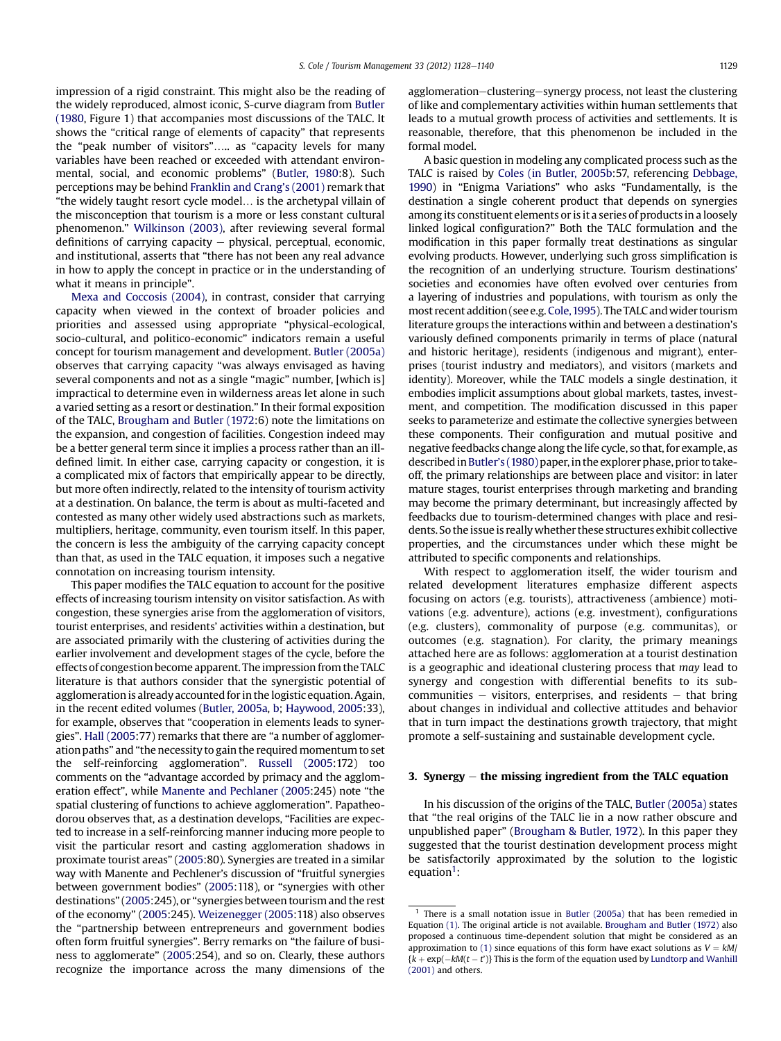impression of a rigid constraint. This might also be the reading of the widely reproduced, almost iconic, S-curve diagram from [Butler](#page--1-0) [\(1980](#page--1-0), Figure 1) that accompanies most discussions of the TALC. It shows the "critical range of elements of capacity" that represents the "peak number of visitors"..... as "capacity levels for many variables have been reached or exceeded with attendant environmental, social, and economic problems" ([Butler, 1980](#page--1-0):8). Such perceptions may be behind [Franklin and Crang](#page--1-0)'s (2001) remark that "the widely taught resort cycle model. is the archetypal villain of the misconception that tourism is a more or less constant cultural phenomenon." [Wilkinson \(2003\),](#page--1-0) after reviewing several formal definitions of carrying capacity  $-$  physical, perceptual, economic, and institutional, asserts that "there has not been any real advance in how to apply the concept in practice or in the understanding of what it means in principle".

[Mexa and Coccosis \(2004\)](#page--1-0), in contrast, consider that carrying capacity when viewed in the context of broader policies and priorities and assessed using appropriate "physical-ecological, socio-cultural, and politico-economic" indicators remain a useful concept for tourism management and development. [Butler \(2005a\)](#page--1-0) observes that carrying capacity "was always envisaged as having several components and not as a single "magic" number, [which is] impractical to determine even in wilderness areas let alone in such a varied setting as a resort or destination." In their formal exposition of the TALC, [Brougham and Butler \(1972](#page--1-0):6) note the limitations on the expansion, and congestion of facilities. Congestion indeed may be a better general term since it implies a process rather than an illdefined limit. In either case, carrying capacity or congestion, it is a complicated mix of factors that empirically appear to be directly, but more often indirectly, related to the intensity of tourism activity at a destination. On balance, the term is about as multi-faceted and contested as many other widely used abstractions such as markets, multipliers, heritage, community, even tourism itself. In this paper, the concern is less the ambiguity of the carrying capacity concept than that, as used in the TALC equation, it imposes such a negative connotation on increasing tourism intensity.

This paper modifies the TALC equation to account for the positive effects of increasing tourism intensity on visitor satisfaction. As with congestion, these synergies arise from the agglomeration of visitors, tourist enterprises, and residents' activities within a destination, but are associated primarily with the clustering of activities during the earlier involvement and development stages of the cycle, before the effects of congestion become apparent. The impression from the TALC literature is that authors consider that the synergistic potential of agglomeration is already accounted for in the logistic equation. Again, in the recent edited volumes ([Butler, 2005a](#page--1-0), [b;](#page--1-0) [Haywood, 2005:](#page--1-0)33), for example, observes that "cooperation in elements leads to synergies". [Hall \(2005](#page--1-0):77) remarks that there are "a number of agglomeration paths" and "the necessity to gain the required momentum to set the self-reinforcing agglomeration". [Russell \(2005:](#page--1-0)172) too comments on the "advantage accorded by primacy and the agglomeration effect", while [Manente and Pechlaner \(2005:](#page--1-0)245) note "the spatial clustering of functions to achieve agglomeration". Papatheodorou observes that, as a destination develops, "Facilities are expected to increase in a self-reinforcing manner inducing more people to visit the particular resort and casting agglomeration shadows in proximate tourist areas" [\(2005](#page--1-0):80). Synergies are treated in a similar way with Manente and Pechlener's discussion of "fruitful synergies between government bodies" [\(2005](#page--1-0):118), or "synergies with other destinations" ([2005:](#page--1-0)245), or "synergies between tourism and the rest of the economy" ([2005:](#page--1-0)245). [Weizenegger \(2005:](#page--1-0)118) also observes the "partnership between entrepreneurs and government bodies often form fruitful synergies". Berry remarks on "the failure of business to agglomerate" [\(2005](#page--1-0):254), and so on. Clearly, these authors recognize the importance across the many dimensions of the

agglomeration–clustering–synergy process, not least the clustering of like and complementary activities within human settlements that leads to a mutual growth process of activities and settlements. It is reasonable, therefore, that this phenomenon be included in the formal model.

A basic question in modeling any complicated process such as the TALC is raised by [Coles \(in Butler, 2005b:](#page--1-0)57, referencing [Debbage,](#page--1-0) [1990\)](#page--1-0) in "Enigma Variations" who asks "Fundamentally, is the destination a single coherent product that depends on synergies among its constituent elements or is it a series of products in a loosely linked logical configuration?" Both the TALC formulation and the modification in this paper formally treat destinations as singular evolving products. However, underlying such gross simplification is the recognition of an underlying structure. Tourism destinations' societies and economies have often evolved over centuries from a layering of industries and populations, with tourism as only the most recent addition (see e.g. [Cole,1995\)](#page--1-0). The TALC andwider tourism literature groups the interactions within and between a destination's variously defined components primarily in terms of place (natural and historic heritage), residents (indigenous and migrant), enterprises (tourist industry and mediators), and visitors (markets and identity). Moreover, while the TALC models a single destination, it embodies implicit assumptions about global markets, tastes, investment, and competition. The modification discussed in this paper seeks to parameterize and estimate the collective synergies between these components. Their configuration and mutual positive and negative feedbacks change along the life cycle, so that, for example, as described in Butler'[s \(1980\)](#page--1-0) paper, in the explorer phase, prior to takeoff, the primary relationships are between place and visitor: in later mature stages, tourist enterprises through marketing and branding may become the primary determinant, but increasingly affected by feedbacks due to tourism-determined changes with place and residents. So the issue is really whether these structures exhibit collective properties, and the circumstances under which these might be attributed to specific components and relationships.

With respect to agglomeration itself, the wider tourism and related development literatures emphasize different aspects focusing on actors (e.g. tourists), attractiveness (ambience) motivations (e.g. adventure), actions (e.g. investment), configurations (e.g. clusters), commonality of purpose (e.g. communitas), or outcomes (e.g. stagnation). For clarity, the primary meanings attached here are as follows: agglomeration at a tourist destination is a geographic and ideational clustering process that may lead to synergy and congestion with differential benefits to its subcommunities  $-$  visitors, enterprises, and residents  $-$  that bring about changes in individual and collective attitudes and behavior that in turn impact the destinations growth trajectory, that might promote a self-sustaining and sustainable development cycle.

#### 3. Synergy  $-$  the missing ingredient from the TALC equation

In his discussion of the origins of the TALC, [Butler \(2005a\)](#page--1-0) states that "the real origins of the TALC lie in a now rather obscure and unpublished paper" [\(Brougham & Butler, 1972\)](#page--1-0). In this paper they suggested that the tourist destination development process might be satisfactorily approximated by the solution to the logistic equation<sup>1</sup>:

 $1$  There is a small notation issue in [Butler \(2005a\)](#page--1-0) that has been remedied in Equation [\(1\)](#page--1-0). The original article is not available. [Brougham and Butler \(1972\)](#page--1-0) also proposed a continuous time-dependent solution that might be considered as an approximation to [\(1\)](#page--1-0) since equations of this form have exact solutions as  $V = kM/$  $\{k + \exp(-kM(t - t'))\}$  This is the form of the equation used by [Lundtorp and Wanhill](#page--1-0)<br>(2001) and others [\(2001\)](#page--1-0) and others.